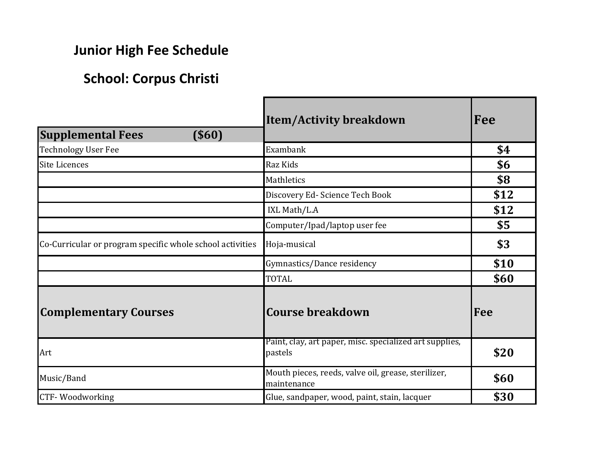## **Junior High Fee Schedule**

## **School: Corpus Christi**

| <b>Supplemental Fees</b><br>$($ \$60)                     | <b>Item/Activity breakdown</b>                                     | Fee  |
|-----------------------------------------------------------|--------------------------------------------------------------------|------|
| <b>Technology User Fee</b>                                | Exambank                                                           | \$4  |
| <b>Site Licences</b>                                      | Raz Kids                                                           | \$6  |
|                                                           | Mathletics                                                         | \$8  |
|                                                           | Discovery Ed- Science Tech Book                                    | \$12 |
|                                                           | IXL Math/L.A                                                       | \$12 |
|                                                           | Computer/Ipad/laptop user fee                                      | \$5  |
| Co-Curricular or program specific whole school activities | Hoja-musical                                                       | \$3  |
|                                                           | Gymnastics/Dance residency                                         | \$10 |
|                                                           | <b>TOTAL</b>                                                       | \$60 |
| <b>Complementary Courses</b>                              | <b>Course breakdown</b>                                            | Fee  |
| Art                                                       | Paint, clay, art paper, misc. specialized art supplies,<br>pastels | \$20 |
| Music/Band                                                | Mouth pieces, reeds, valve oil, grease, sterilizer,<br>maintenance | \$60 |
| <b>CTF-Woodworking</b>                                    | Glue, sandpaper, wood, paint, stain, lacquer                       | \$30 |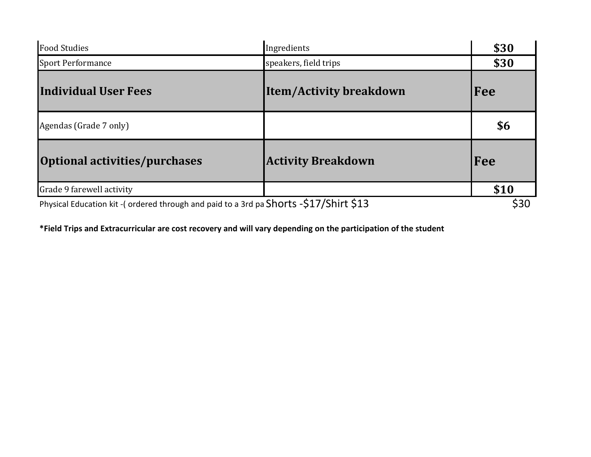| <b>Food Studies</b>                                                                   | Ingredients                    | \$30 |
|---------------------------------------------------------------------------------------|--------------------------------|------|
| <b>Sport Performance</b>                                                              | speakers, field trips          | \$30 |
| <b>Individual User Fees</b>                                                           | <b>Item/Activity breakdown</b> | Fee  |
| Agendas (Grade 7 only)                                                                |                                | \$6  |
| Optional activities/purchases                                                         | <b>Activity Breakdown</b>      | Fee  |
| Grade 9 farewell activity                                                             |                                | \$10 |
| Physical Education kit -(ordered through and paid to a 3rd pa Shorts -\$17/Shirt \$13 |                                | \$30 |

**\*Field Trips and Extracurricular are cost recovery and will vary depending on the participation of the student**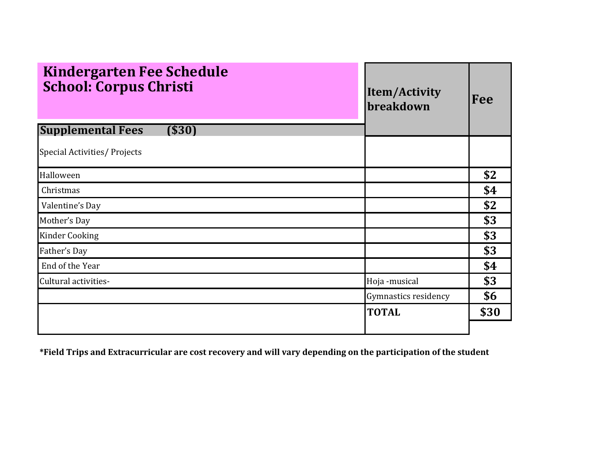| <b>Kindergarten Fee Schedule</b><br><b>School: Corpus Christi</b> | Item/Activity<br>breakdown | Fee  |
|-------------------------------------------------------------------|----------------------------|------|
| <b>Supplemental Fees</b><br>( \$30]                               |                            |      |
| Special Activities/ Projects                                      |                            |      |
| Halloween                                                         |                            | \$2  |
| Christmas                                                         |                            | \$4  |
| Valentine's Day                                                   |                            | \$2  |
| Mother's Day                                                      |                            | \$3  |
| <b>Kinder Cooking</b>                                             |                            | \$3  |
| Father's Day                                                      |                            | \$3  |
| End of the Year                                                   |                            | \$4  |
| Cultural activities-                                              | Hoja -musical              | \$3  |
|                                                                   | Gymnastics residency       | \$6  |
|                                                                   | <b>TOTAL</b>               | \$30 |
|                                                                   |                            |      |

**\*Field Trips and Extracurricular are cost recovery and will vary depending on the participation of the student**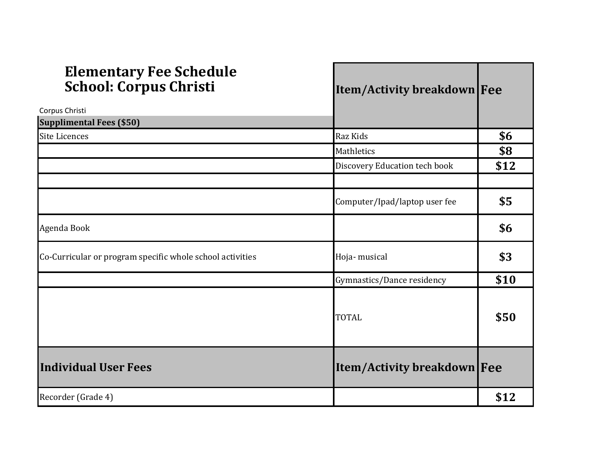| <b>Elementary Fee Schedule</b><br><b>School: Corpus Christi</b> | <b>Item/Activity breakdown Fee</b> |      |
|-----------------------------------------------------------------|------------------------------------|------|
| Corpus Christi                                                  |                                    |      |
| <b>Supplimental Fees (\$50)</b>                                 |                                    |      |
| <b>Site Licences</b>                                            | Raz Kids                           | \$6  |
|                                                                 | Mathletics                         | \$8  |
|                                                                 | Discovery Education tech book      | \$12 |
|                                                                 | Computer/Ipad/laptop user fee      | \$5  |
| Agenda Book                                                     |                                    | \$6  |
| Co-Curricular or program specific whole school activities       | Hoja-musical                       | \$3  |
|                                                                 | Gymnastics/Dance residency         | \$10 |
|                                                                 | <b>TOTAL</b>                       | \$50 |
| <b>Individual User Fees</b>                                     | <b>Item/Activity breakdown Fee</b> |      |
| Recorder (Grade 4)                                              |                                    | \$12 |